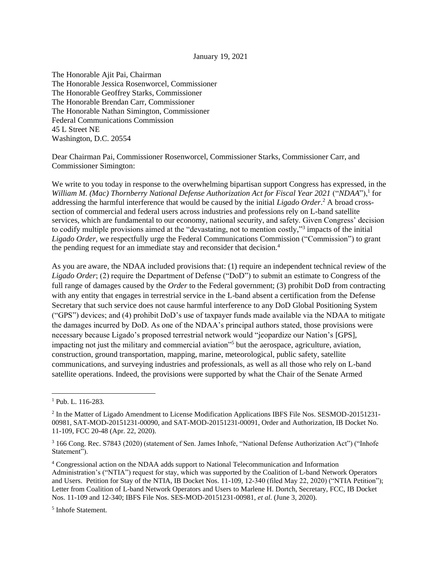## January 19, 2021

The Honorable Ajit Pai, Chairman The Honorable Jessica Rosenworcel, Commissioner The Honorable Geoffrey Starks, Commissioner The Honorable Brendan Carr, Commissioner The Honorable Nathan Simington, Commissioner Federal Communications Commission 45 L Street NE Washington, D.C. 20554

Dear Chairman Pai, Commissioner Rosenworcel, Commissioner Starks, Commissioner Carr, and Commissioner Simington:

We write to you today in response to the overwhelming bipartisan support Congress has expressed, in the *William M. (Mac) Thornberry National Defense Authorization Act for Fiscal Year 2021* ("*NDAA*"),<sup>1</sup> for addressing the harmful interference that would be caused by the initial *Ligado Order*. <sup>2</sup> A broad crosssection of commercial and federal users across industries and professions rely on L-band satellite services, which are fundamental to our economy, national security, and safety. Given Congress' decision to codify multiple provisions aimed at the "devastating, not to mention costly,"<sup>3</sup> impacts of the initial *Ligado Order,* we respectfully urge the Federal Communications Commission ("Commission") to grant the pending request for an immediate stay and reconsider that decision.<sup>4</sup>

As you are aware, the NDAA included provisions that: (1) require an independent technical review of the *Ligado Order*; (2) require the Department of Defense ("DoD") to submit an estimate to Congress of the full range of damages caused by the *Order* to the Federal government; (3) prohibit DoD from contracting with any entity that engages in terrestrial service in the L-band absent a certification from the Defense Secretary that such service does not cause harmful interference to any DoD Global Positioning System ("GPS") devices; and (4) prohibit DoD's use of taxpayer funds made available via the NDAA to mitigate the damages incurred by DoD. As one of the NDAA's principal authors stated, those provisions were necessary because Ligado's proposed terrestrial network would "jeopardize our Nation's [GPS], impacting not just the military and commercial aviation"<sup>5</sup> but the aerospace, agriculture, aviation, construction, ground transportation, mapping, marine, meteorological, public safety, satellite communications, and surveying industries and professionals, as well as all those who rely on L-band satellite operations. Indeed, the provisions were supported by what the Chair of the Senate Armed

<sup>&</sup>lt;sup>1</sup> Pub. L. 116-283.

<sup>&</sup>lt;sup>2</sup> In the Matter of Ligado Amendment to License Modification Applications IBFS File Nos. SESMOD-20151231-00981, SAT-MOD-20151231-00090, and SAT-MOD-20151231-00091, Order and Authorization, IB Docket No. 11-109, FCC 20-48 (Apr. 22, 2020).

<sup>3</sup> 166 Cong. Rec. S7843 (2020) (statement of Sen. James Inhofe, "National Defense Authorization Act") ("Inhofe Statement").

<sup>4</sup> Congressional action on the NDAA adds support to National Telecommunication and Information Administration's ("NTIA") request for stay, which was supported by the Coalition of L-band Network Operators and Users. Petition for Stay of the NTIA, IB Docket Nos. 11-109, 12-340 (filed May 22, 2020) ("NTIA Petition"); Letter from Coalition of L-band Network Operators and Users to Marlene H. Dortch, Secretary, FCC, IB Docket Nos. 11-109 and 12-340; IBFS File Nos. SES-MOD-20151231-00981, *et al*. (June 3, 2020).

<sup>5</sup> Inhofe Statement.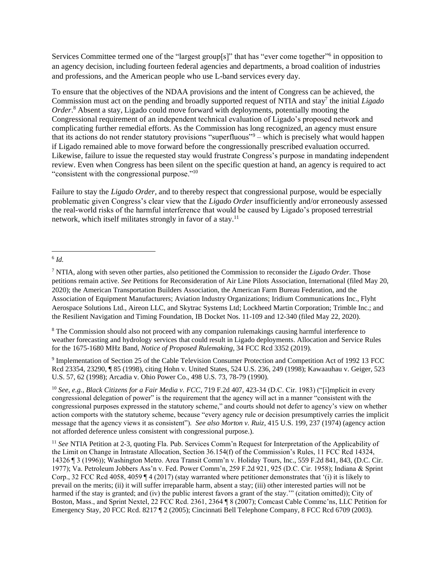Services Committee termed one of the "largest group[s]" that has "ever come together"<sup>6</sup> in opposition to an agency decision, including fourteen federal agencies and departments, a broad coalition of industries and professions, and the American people who use L-band services every day.

To ensure that the objectives of the NDAA provisions and the intent of Congress can be achieved, the Commission must act on the pending and broadly supported request of NTIA and stay<sup>7</sup> the initial *Ligado Order*. <sup>8</sup> Absent a stay, Ligado could move forward with deployments, potentially mooting the Congressional requirement of an independent technical evaluation of Ligado's proposed network and complicating further remedial efforts. As the Commission has long recognized, an agency must ensure that its actions do not render statutory provisions "superfluous"<sup>9</sup> – which is precisely what would happen if Ligado remained able to move forward before the congressionally prescribed evaluation occurred. Likewise, failure to issue the requested stay would frustrate Congress's purpose in mandating independent review. Even when Congress has been silent on the specific question at hand, an agency is required to act "consistent with the congressional purpose."<sup>10</sup>

Failure to stay the *Ligado Order,* and to thereby respect that congressional purpose, would be especially problematic given Congress's clear view that the *Ligado Order* insufficiently and/or erroneously assessed the real-world risks of the harmful interference that would be caused by Ligado's proposed terrestrial network, which itself militates strongly in favor of a stay.<sup>11</sup>

<sup>8</sup> The Commission should also not proceed with any companion rulemakings causing harmful interference to weather forecasting and hydrology services that could result in Ligado deployments. Allocation and Service Rules for the 1675-1680 MHz Band, *Notice of Proposed Rulemaking,* 34 FCC Rcd 3352 (2019).

<sup>9</sup> Implementation of Section 25 of the Cable Television Consumer Protection and Competition Act of 1992 13 FCC Rcd 23354, 23290, ¶ 85 (1998), citing Hohn v. United States, 524 U.S. 236, 249 (1998); Kawaauhau v. Geiger, 523 U.S. 57, 62 (1998); Arcadia v. Ohio Power Co., 498 U.S. 73, 78-79 (1990).

<sup>10</sup> *See, e.g., Black Citizens for a Fair Media v. FCC*, 719 F.2d 407, 423-34 (D.C. Cir. 1983) ("[i]mplicit in every congressional delegation of power" is the requirement that the agency will act in a manner "consistent with the congressional purposes expressed in the statutory scheme," and courts should not defer to agency's view on whether action comports with the statutory scheme, because "every agency rule or decision presumptively carries the implicit message that the agency views it as consistent"). *See also Morton v. Ruiz*, 415 U.S. 199, 237 (1974) (agency action not afforded deference unless consistent with congressional purpose.).

<sup>6</sup> *Id.* 

<sup>7</sup> NTIA, along with seven other parties, also petitioned the Commission to reconsider the *Ligado Order.* Those petitions remain active. *See* Petitions for Reconsideration of Air Line Pilots Association, International (filed May 20, 2020); the American Transportation Builders Association, the American Farm Bureau Federation, and the Association of Equipment Manufacturers; Aviation Industry Organizations; Iridium Communications Inc., Flyht Aerospace Solutions Ltd., Aireon LLC, and Skytrac Systems Ltd; Lockheed Martin Corporation; Trimble Inc.; and the Resilient Navigation and Timing Foundation, IB Docket Nos. 11-109 and 12-340 (filed May 22, 2020).

<sup>11</sup> *See* NTIA Petition at 2-3, quoting Fla. Pub. Services Comm'n Request for Interpretation of the Applicability of the Limit on Change in Intrastate Allocation, Section 36.154(f) of the Commission's Rules, 11 FCC Rcd 14324, 14326 ¶ 3 (1996)); Washington Metro. Area Transit Comm'n v. Holiday Tours, Inc., 559 F.2d 841, 843, (D.C. Cir. 1977); Va. Petroleum Jobbers Ass'n v. Fed. Power Comm'n, 259 F.2d 921, 925 (D.C. Cir. 1958); Indiana & Sprint Corp., 32 FCC Rcd 4058, 4059 ¶ 4 (2017) (stay warranted where petitioner demonstrates that '(i) it is likely to prevail on the merits; (ii) it will suffer irreparable harm, absent a stay; (iii) other interested parties will not be harmed if the stay is granted; and (iv) the public interest favors a grant of the stay." (citation omitted)); City of Boston, Mass., and Sprint Nextel, 22 FCC Rcd. 2361, 2364 ¶ 8 (2007); Comcast Cable Commc'ns, LLC Petition for Emergency Stay, 20 FCC Rcd. 8217 ¶ 2 (2005); Cincinnati Bell Telephone Company, 8 FCC Rcd 6709 (2003).